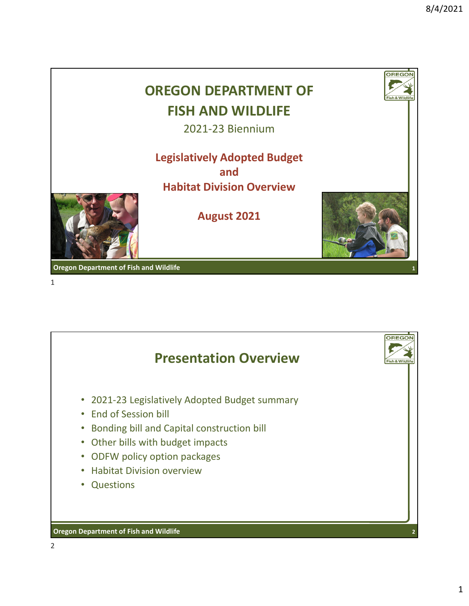



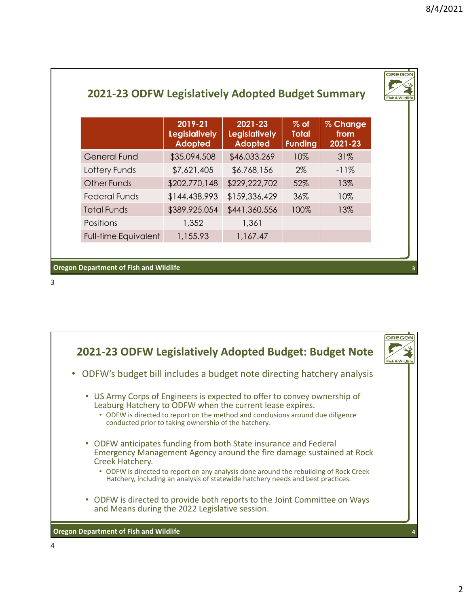|                             | 2019-21<br><b>Legislatively</b><br><b>Adopted</b> | $2021 - 23$<br><b>Legislatively</b><br><b>Adopted</b> | $%$ of<br><b>Total</b><br><b>Funding</b> | % Change<br>from<br>2021-23 |  |  |  |
|-----------------------------|---------------------------------------------------|-------------------------------------------------------|------------------------------------------|-----------------------------|--|--|--|
| <b>General Fund</b>         | \$35,094,508                                      | \$46,033,269                                          | 10%                                      | 31%                         |  |  |  |
| Lottery Funds               | \$7,621,405                                       | \$6,768,156                                           | $2\%$                                    | $-11%$                      |  |  |  |
| <b>Other Funds</b>          | \$202,770,148                                     | \$229,222,702                                         | 52%                                      | 13%                         |  |  |  |
| <b>Federal Funds</b>        | \$144,438,993                                     | \$159,336,429                                         | 36%                                      | 10%                         |  |  |  |
| <b>Total Funds</b>          | \$389,925,054                                     | \$441,360,556                                         | 100%                                     | 13%                         |  |  |  |
| Positions                   | 1,352                                             | 1,361                                                 |                                          |                             |  |  |  |
| <b>Full-time Equivalent</b> | 1,155.93                                          | 1,167.47                                              |                                          |                             |  |  |  |

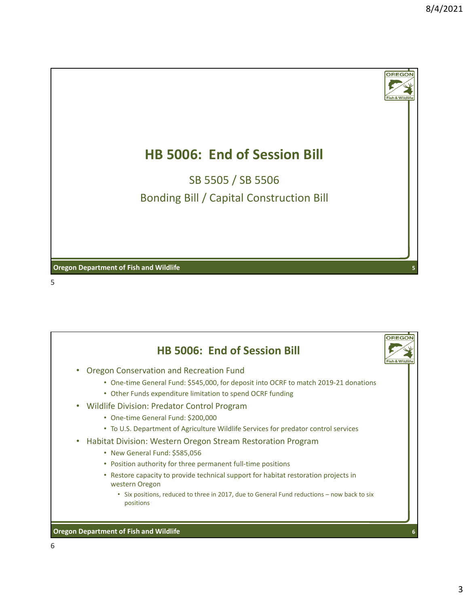

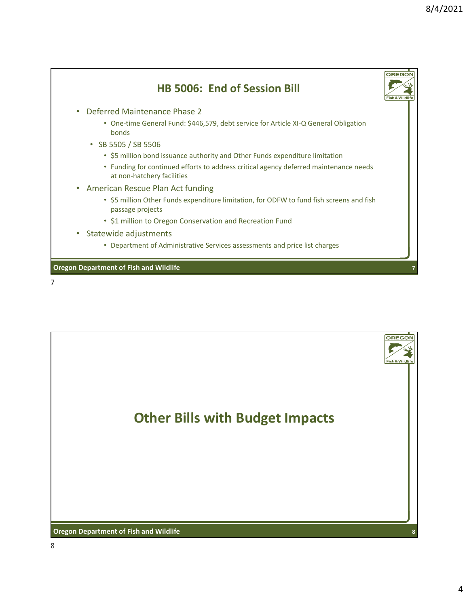

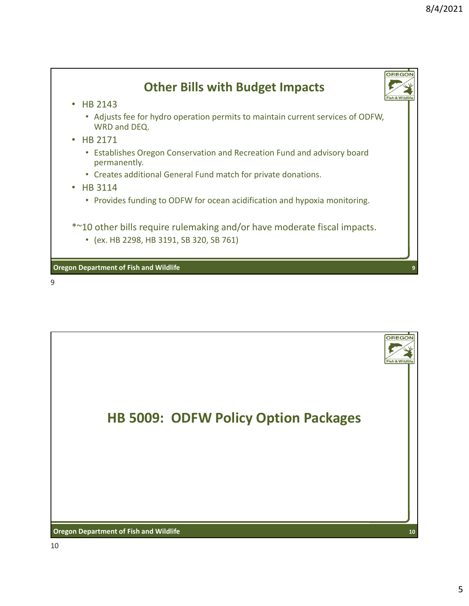

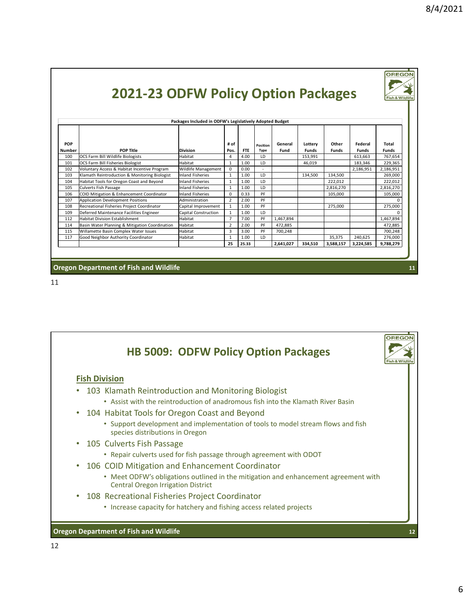OREGON

| Packages Included in ODFW's Legislatively Adopted Budget |                                                |                             |                |            |                         |                 |                         |                       |                         |                       |  |
|----------------------------------------------------------|------------------------------------------------|-----------------------------|----------------|------------|-------------------------|-----------------|-------------------------|-----------------------|-------------------------|-----------------------|--|
| <b>POP</b><br><b>Number</b>                              | <b>POP Title</b>                               | <b>Division</b>             | # of<br>Pos.   | <b>FTE</b> | Position<br><b>Type</b> | General<br>Fund | Lottery<br><b>Funds</b> | Other<br><b>Funds</b> | Federal<br><b>Funds</b> | Total<br><b>Funds</b> |  |
| 100                                                      | OCS Farm Bill Wildlife Biologists              | Habitat                     | 4              | 4.00       | LD                      |                 | 153,991                 |                       | 613,663                 | 767,654               |  |
| 101                                                      | OCS Farm Bill Fisheries Biologist              | Habitat                     | $\mathbf{1}$   | 1.00       | LD                      |                 | 46,019                  |                       | 183,346                 | 229,365               |  |
| 102                                                      | Voluntary Access & Habitat Incentive Program   | Wildlife Management         | $\Omega$       | 0.00       |                         |                 |                         |                       | 2,186,951               | 2,186,951             |  |
| 103                                                      | Klamath Reintroduction & Monitoring Biologist  | <b>Inland Fisheries</b>     | 1              | 1.00       | LD                      |                 | 134,500                 | 134,500               |                         | 269,000               |  |
| 104                                                      | Habitat Tools for Oregon Coast and Beyond      | <b>Inland Fisheries</b>     | $\mathbf{1}$   | 1.00       | LD                      |                 |                         | 222,012               |                         | 222,012               |  |
| 105                                                      | <b>Culverts Fish Passage</b>                   | <b>Inland Fisheries</b>     | $\mathbf{1}$   | 1.00       | LD                      |                 |                         | 2,816,270             |                         | 2,816,270             |  |
| 106                                                      | COID Mitigation & Enhancement Coordinator      | <b>Inland Fisheries</b>     | $\mathbf 0$    | 0.33       | PF                      |                 |                         | 105,000               |                         | 105,000               |  |
| 107                                                      | <b>Application Development Positions</b>       | Administration              | $\overline{2}$ | 2.00       | PF                      |                 |                         |                       |                         |                       |  |
| 108                                                      | Recreational Fisheries Project Coordinator     | Capital Improvement         | $\mathbf{1}$   | 1.00       | PF                      |                 |                         | 275,000               |                         | 275,000               |  |
| 109                                                      | Deferred Maintenance Facilities Engineer       | <b>Capital Construction</b> | 1              | 1.00       | LD                      |                 |                         |                       |                         | n                     |  |
| 112                                                      | Habitat Division Establishment                 | Habitat                     | $\overline{7}$ | 7.00       | PF                      | 1,467,894       |                         |                       |                         | 1,467,894             |  |
| 114                                                      | Basin Water Planning & Mitigation Coordination | Habitat                     | $\overline{2}$ | 2.00       | PF                      | 472,885         |                         |                       |                         | 472,885               |  |
| 115                                                      | Willamette Basin Complex Water Issues          | Habitat                     | 3              | 3.00       | PF                      | 700,248         |                         |                       |                         | 700,248               |  |
| 117                                                      | Good Neighbor Authority Coordinator            | Habitat                     | 1              | 1.00       | LD                      |                 |                         | 35,375                | 240,625                 | 276,000               |  |
|                                                          |                                                |                             | 25             | 25.33      |                         | 2,641,027       | 334,510                 | 3,588,157             | 3,224,585               | 9,788,279             |  |

**2021‐23 ODFW Policy Option Packages**

**Oregon Department of Fish and Wildlife**

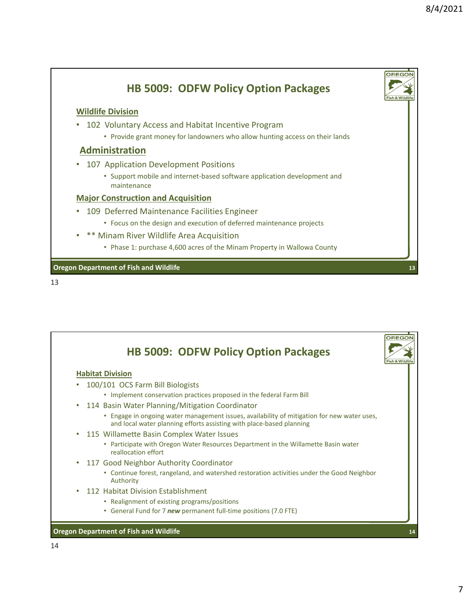

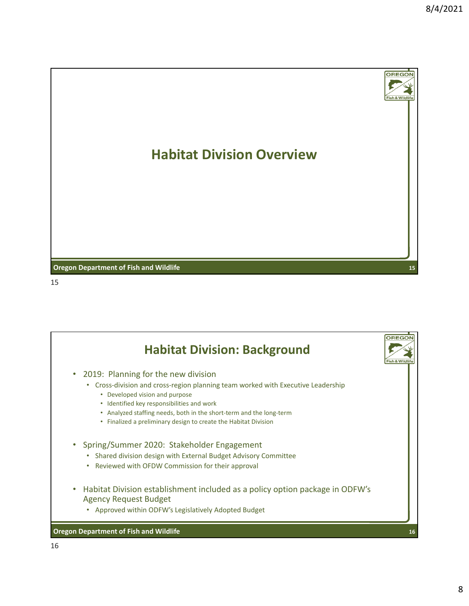

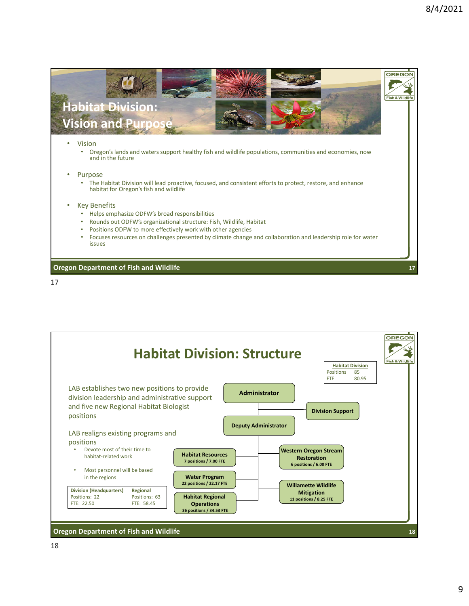

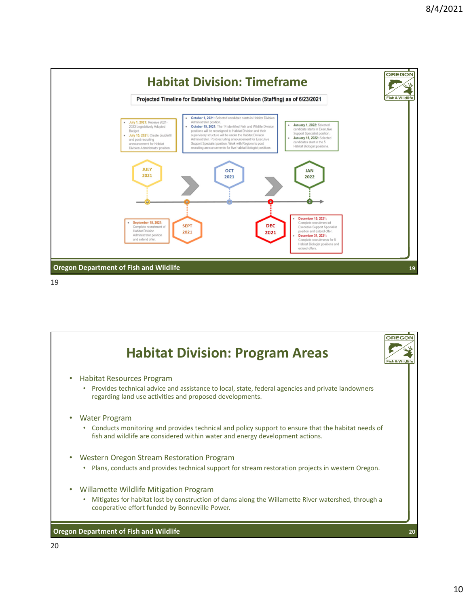